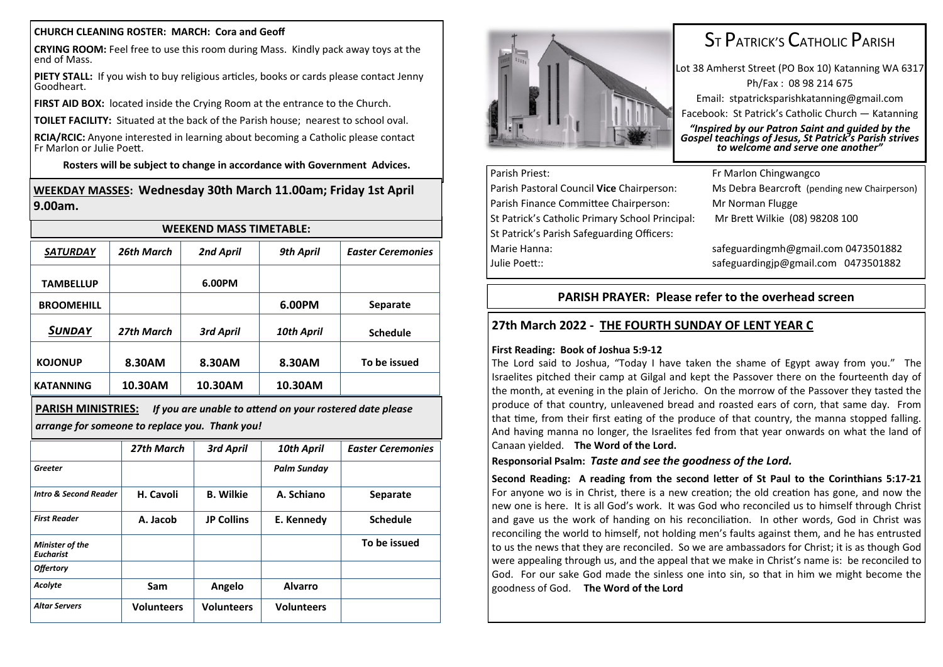#### **CHURCH CLEANING ROSTER: MARCH: Cora and Geoff**

**CRYING ROOM:** Feel free to use this room during Mass. Kindly pack away toys at the end of Mass.

**PIETY STALL:** If you wish to buy religious articles, books or cards please contact Jenny Goodheart.

**FIRST AID BOX:** located inside the Crying Room at the entrance to the Church.

**TOILET FACILITY:** Situated at the back of the Parish house; nearest to school oval.

**RCIA/RCIC:** Anyone interested in learning about becoming a Catholic please contact Fr Marlon or Julie Poett.

**Rosters will be subject to change in accordance with Government Advices.**

**WEEKDAY MASSES: Wednesday 30th March 11.00am; Friday 1st April 9.00am.** 

| <b>WEEKEND MASS TIMETABLE:</b> |            |           |            |                          |  |
|--------------------------------|------------|-----------|------------|--------------------------|--|
| <b>SATURDAY</b>                | 26th March | 2nd April | 9th April  | <b>Easter Ceremonies</b> |  |
| <b>TAMBELLUP</b>               |            | 6.00PM    |            |                          |  |
| <b>BROOMEHILL</b>              |            |           | 6.00PM     | <b>Separate</b>          |  |
| <b>SUNDAY</b>                  | 27th March | 3rd April | 10th April | <b>Schedule</b>          |  |
| <b>KOJONUP</b>                 | 8.30AM     | 8.30AM    | 8.30AM     | To be issued             |  |
| <b>KATANNING</b>               | 10.30AM    | 10.30AM   | 10.30AM    |                          |  |

**PARISH MINISTRIES:** *If you are unable to attend on your rostered date please arrange for someone to replace you. Thank you!*

|                                            | 27th March        | 3rd April         | 10th April        | <b>Easter Ceremonies</b> |
|--------------------------------------------|-------------------|-------------------|-------------------|--------------------------|
| Greeter                                    |                   |                   | Palm Sunday       |                          |
| <b>Intro &amp; Second Reader</b>           | H. Cavoli         | <b>B.</b> Wilkie  | A. Schiano        | <b>Separate</b>          |
| <b>First Reader</b>                        | A. Jacob          | <b>JP Collins</b> | E. Kennedy        | <b>Schedule</b>          |
| <b>Minister of the</b><br><b>Eucharist</b> |                   |                   |                   | To be issued             |
| <b>Offertory</b>                           |                   |                   |                   |                          |
| Acolyte                                    | Sam               | Angelo            | <b>Alvarro</b>    |                          |
| <b>Altar Servers</b>                       | <b>Volunteers</b> | <b>Volunteers</b> | <b>Volunteers</b> |                          |



# ST PATRICK'S CATHOLIC PARISH

Lot 38 Amherst Street (PO Box 10) Katanning WA 6317 Ph/Fax : 08 98 214 675 Email: stpatricksparishkatanning@gmail.com Facebook: St Patrick's Catholic Church — Katanning

*"Inspired by our Patron Saint and guided by the Gospel teachings of Jesus, St Patrick's Parish strives to welcome and serve one another"*

## Parish Priest: Fr Marlon Chingwangco Parish Pastoral Council **Vice** Chairperson: Ms Debra Bearcroft (pending new Chairperson) Parish Finance Committee Chairperson: Mr Norman Flugge St Patrick's Catholic Primary School Principal: Mr Brett Wilkie (08) 98208 100 St Patrick's Parish Safeguarding Officers: Marie Hanna: safeguardingmh@gmail.com 0473501882 Julie Poett:: safeguardingjp@gmail.com 0473501882

### **PARISH PRAYER: Please refer to the overhead screen**

## **27th March 2022 - THE FOURTH SUNDAY OF LENT YEAR C**

#### **First Reading: Book of Joshua 5:9-12**

The Lord said to Joshua, "Today I have taken the shame of Egypt away from you." The Israelites pitched their camp at Gilgal and kept the Passover there on the fourteenth day of the month, at evening in the plain of Jericho. On the morrow of the Passover they tasted the produce of that country, unleavened bread and roasted ears of corn, that same day. From that time, from their first eating of the produce of that country, the manna stopped falling. And having manna no longer, the Israelites fed from that year onwards on what the land of Canaan yielded. **The Word of the Lord.**

**Responsorial Psalm:** *Taste and see the goodness of the Lord.*

**Second Reading: A reading from the second letter of St Paul to the Corinthians 5:17-21**  For anyone wo is in Christ, there is a new creation; the old creation has gone, and now the new one is here. It is all God's work. It was God who reconciled us to himself through Christ and gave us the work of handing on his reconciliation. In other words, God in Christ was reconciling the world to himself, not holding men's faults against them, and he has entrusted to us the news that they are reconciled. So we are ambassadors for Christ; it is as though God were appealing through us, and the appeal that we make in Christ's name is: be reconciled to God. For our sake God made the sinless one into sin, so that in him we might become the goodness of God. **The Word of the Lord**